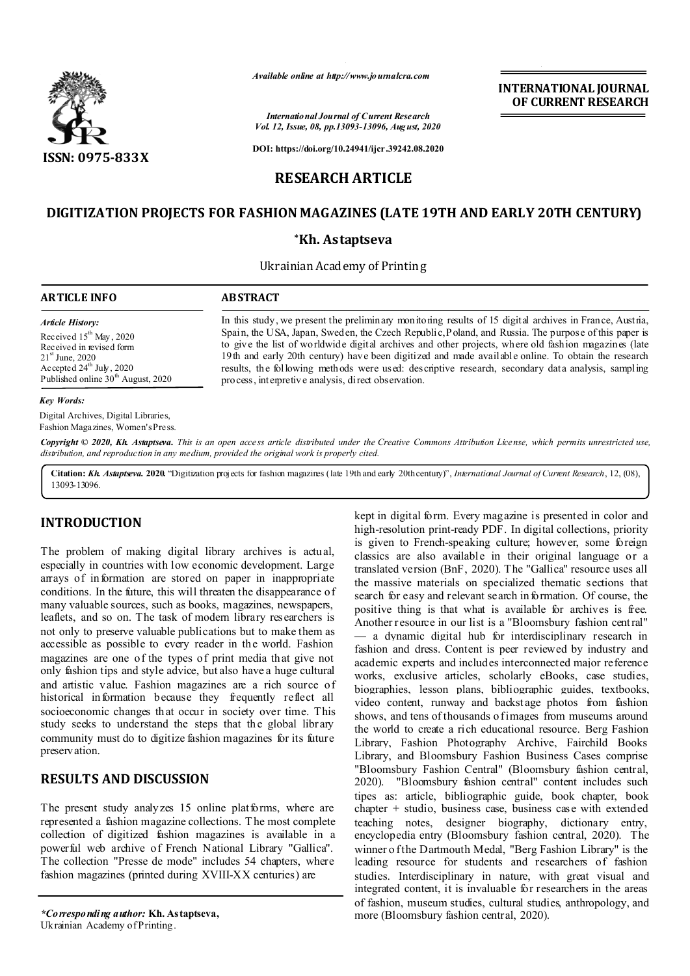

*Available online at http://www.journalcra.com*

*International Journal of Current Research Vol. 12, Issue, 08, pp.13093-13096, August, 2020*

**DOI: https://doi.org/10.24941/ijcr.39242.08.2020**

# **DIGITIZATION PROJECTS FOR FASHION MAGAZINES (LATE 19TH AND EARLY 20TH CENTURY)**

**RESEARCH ARTICLE**

#### **\*Kh. Astaptseva**

Ukrainian Academy of Printing

# **ARTICLE INFO ABSTRACT**

*Article History: Article History:* Received  $15^{th}$  May, 2020 Received in revised form Received in revised form  $21<sup>st</sup>$  June, 2020 Accepted  $24^{\text{th}}$  July, 2020 Published online 30<sup>th</sup> August, 2020

In this study, we present the preliminary monitoring results of 15 digital archives in France, Austria, Spain, the USA, Japan, Sweden, the Czech Republic, Poland, and Russia. The purpose of this paper is to give the list of worldwide digital archives and other projects, where old fashion magazines (late 19th and early 20th century) have been digitized and made available online. To obtain the research results, the following methods were used: descriptive research, secondary data analysis, sampling process, interpretive analysis, direct observation.

**INTERNATIONAL JOURNAL OF CURRENT RESEARCH**

#### *Key Words:*

Digital Archives, Digital Libraries, Fashion Magazines, Women's Press.

Copyright © 2020, Kh. Astaptseva. This is an open access article distributed under the Creative Commons Attribution License, which permits unrestricted use, *distribution, and reproduction in any medium, provided the original work is properly cited.*

**Citation:** *Kh. Astaptseva.* **2020.** "Digitization projects for fashion magazines (late 19th and early 20th century)", *International Journal of Current Research*, 12, (08), 13093-13096.

## **INTRODUCTION**

The problem of making digital library archives is actual, especially in countries with low economic development. Large arrays of information are stored on paper in inappropriate conditions. In the future, this will threaten the disappearance of many valuable sources, such as books, magazines, newspapers, leaflets, and so on. The task of modern library researchers is not only to preserve valuable publications but to make them as accessible as possible to every reader in the world. Fashion magazines are one of the types of print media that give not only fashion tips and style advice, but also have a huge cultural and artistic value. Fashion magazines are a rich source of historical information because they frequently reflect all socioeconomic changes that occur in society over time. This study seeks to understand the steps that the global library community must do to digitize fashion magazines for its future preservation.

# **RESULTS AND DISCUSSION**

The present study analyzes 15 online platforms, where are represented a fashion magazine collections. T he most complete collection of digitized fashion magazines is available in a powerful web archive of French National Library "Gallica". The collection "Presse de mode" includes 54 chapters, where fashion magazines (printed during XVIII-XX centuries) are

kept in digital form. Every magazine is presented in color and high-resolution print-ready PDF. In digital collections, priority is given to French-speaking culture; however, some foreign classics are also available in their original language or a translated version (BnF, 2020). The "Gallica" resource uses all the massive materials on specialized thematic sections that search for easy and relevant search in formation. Of course, the positive thing is that what is available for archives is free. Another resource in our list is a "Bloomsbury fashion central" — a dynamic digital hub for interdisciplinary research in fashion and dress. Content is peer reviewed by industry and academic experts and includes interconnected major reference works, exclusive articles, scholarly eBooks, case studies, biographies, lesson plans, bibliographic guides, textbooks, video content, runway and backst age photos from fashion shows, and tens of thousands o fimages from museums around the world to create a rich educational resource. Berg Fashion Library, Fashion Photography Archive, Fairchild Books Library, and Bloomsbury Fashion Business Cases comprise "Bloomsbury Fashion Central" (Bloomsbury fashion central, 2020). "Bloomsbury fashion central" content includes such tipes as: article, bibliographic guide, book chapter, book chapter + studio, business case, business case with extended teaching notes, designer biography, dictionary entry, encyclopedia entry (Bloomsbury fashion central, 2020). The winner o f the Dartmouth Medal, "Berg Fashion Library" is the leading resource for students and researchers of fashion studies. Interdisciplinary in nature, with great visual and integrated content, it is invaluable for researchers in the areas of fashion, museum studies, cultural studies, anthropology, and more (Bloomsbury fashion central, 2020).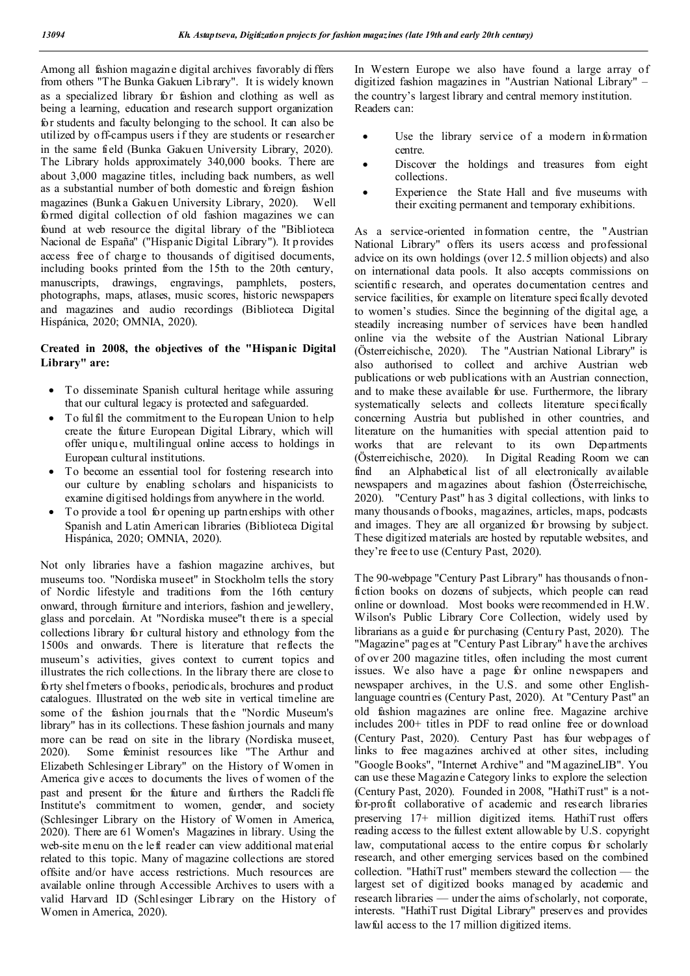Among all fashion magazine digital archives favorably di ffers from others "The Bunka Gakuen Library". It is widely known as a specialized library for fashion and clothing as well as being a learning, education and research support organization for students and faculty belonging to the school. It can also be utilized by off-campus users i f they are students or researcher in the same field (Bunka Gakuen University Library, 2020). The Library holds approximately 340,000 books. There are about 3,000 magazine titles, including back numbers, as well as a substantial number of both domestic and foreign fashion magazines (Bunk a Gakuen University Library, 2020). Well formed digital collection of old fashion magazines we can found at web resource the digital library of the "Biblioteca Nacional de España" ("Hispanic Digital Library"). It p rovides access free of charge to thousands of digitised documents, including books printed from the 15th to the 20th century, manuscripts, drawings, engravings, pamphlets, posters, photographs, maps, atlases, music scores, historic newspapers and magazines and audio recordings (Biblioteca Digital Hispánica, 2020; OMNIA, 2020).

# **Created in 2008, the objectives of the "Hispanic Digital Library" are:**

- To disseminate Spanish cultural heritage while assuring that our cultural legacy is protected and safeguarded.
- To fulfil the commitment to the European Union to help create the future European Digital Library, which will offer unique, multilingual online access to holdings in European cultural institutions.
- To become an essential tool for fostering research into our culture by enabling scholars and hispanicists to examine digitised holdings from anywhere in the world.
- To provide a tool for opening up partnerships with other Spanish and Latin American libraries (Biblioteca Digital Hispánica, 2020; OMNIA, 2020).

Not only libraries have a fashion magazine archives, but museums too. "Nordiska museet" in Stockholm tells the story of Nordic lifestyle and traditions from the 16th century onward, through furniture and interiors, fashion and jewellery, glass and porcelain. At "Nordiska musee"t there is a special collections library for cultural history and ethnology from the 1500s and onwards. There is literature that reflects the museum's activities, gives context to current topics and illustrates the rich collections. In the library there are close to forty shel fmeters o fbooks, periodicals, brochures and product catalogues. Illustrated on the web site in vertical timeline are some of the fashion journals that the "Nordic Museum's library" has in its collections. These fashion journals and many more can be read on site in the library (Nordiska museet, 2020). Some feminist resources like "The Arthur and Elizabeth Schlesinger Library" on the History of Women in America give acces to documents the lives of women of the past and present for the future and furthers the Radcli ffe Institute's commitment to women, gender, and society (Schlesinger Library on the History of Women in America, 2020). There are 61 Women's Magazines in library. Using the web-site menu on the left reader can view additional material related to this topic. Many of magazine collections are stored offsite and/or have access restrictions. Much resources are available online through Accessible Archives to users with a valid Harvard ID (Schlesinger Library on the History of Women in America, 2020).

In Western Europe we also have found a large array of digitized fashion magazines in "Austrian National Library" – the country's largest library and central memory institution. Readers can:

- Use the library service of a modern information centre.
- Discover the holdings and treasures from eight collections.
- Experience the State Hall and five museums with their exciting permanent and temporary exhibitions.

As a service-oriented information centre, the "Austrian National Library" offers its users access and professional advice on its own holdings (over 12.5 million objects) and also on international data pools. It also accepts commissions on scientific research, and operates documentation centres and service facilities, for example on literature specifically devoted to women's studies. Since the beginning of the digital age, a steadily increasing number of services have been handled online via the website of the Austrian National Library (Österreichische, 2020). The "Austrian National Library" is also authorised to collect and archive Austrian web publications or web publications with an Austrian connection, and to make these available for use. Furthermore, the library systematically selects and collects literature specifically concerning Austria but published in other countries, and literature on the humanities with special attention paid to works that are relevant to its own Departments (Österreichische, 2020). In Digital Reading Room we can In Digital Reading Room we can find an Alphabetical list of all electronically available newspapers and magazines about fashion (Österreichische, 2020). "Century Past" h as 3 digital collections, with links to many thousands of books, magazines, articles, maps, podcasts and images. They are all organized for browsing by subject. These digitized materials are hosted by reputable websites, and they're free to use (Century Past, 2020).

The 90-webpage "Century Past Library" has thousands of nonfiction books on dozens of subjects, which people can read online or download. Most books were recommended in H.W. Wilson's Public Library Core Collection, widely used by librarians as a guide for purchasing (Century Past, 2020). The "Magazine" pages at "Century Past Library" h ave the archives of over 200 magazine titles, often including the most current issues. We also have a page for online newspapers and newspaper archives, in the U.S. and some other Englishlanguage countries (Century Past, 2020). At "Century Past" an old fashion magazines are online free. Magazine archive includes 200+ titles in PDF to read online free or download (Century Past, 2020). Century Past has four webpages of links to free magazines archived at other sites, including "Google Books", "Internet Archive" and "M agazineLIB". You can use these Magazine Category links to explore the selection (Century Past, 2020). Founded in 2008, "HathiT rust" is a notfor-profit collaborative of academic and research libraries preserving 17+ million digitized items. HathiT rust offers reading access to the fullest extent allowable by U.S. copyright law, computational access to the entire corpus for scholarly research, and other emerging services based on the combined collection. "HathiT rust" members steward the collection — the largest set of digitized books managed by academic and research libraries — under the aims of scholarly, not corporate, interests. "HathiT rust Digital Library" preserves and provides lawful access to the 17 million digitized items.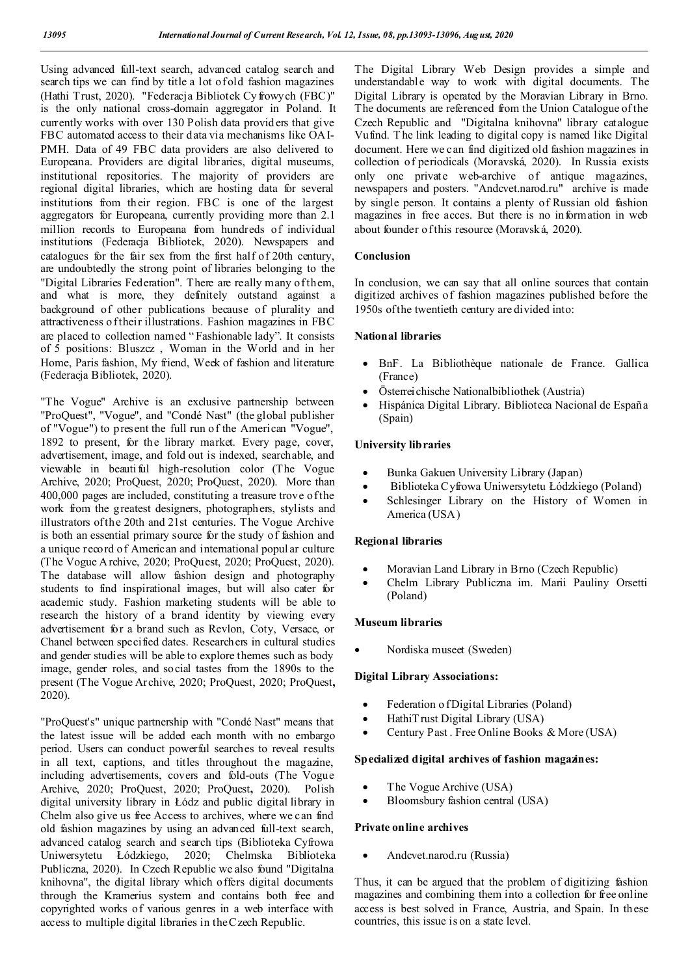Using advanced full-text search, advanced catalog search and search tips we can find by title a lot of old fashion magazines (Hathi Trust, 2020). "Federacja Bibliotek Cy frowych (FBC)" is the only national cross-domain aggregator in Poland. It currently works with over 130 Polish data provid ers that give FBC automated access to their data via mechanisms like OAI-PMH. Data of 49 FBC data providers are also delivered to Europeana. Providers are digital libraries, digital museums, institutional repositories. The majority of providers are regional digital libraries, which are hosting data for several institutions from their region. FBC is one of the largest aggregators for Europeana, currently providing more than 2.1 million records to Europeana from hundreds of individual institutions (Federacja Bibliotek, 2020). Newspapers and catalogues for the fair sex from the first half of 20th century, are undoubtedly the strong point of libraries belonging to the "Digital Libraries Federation". There are really many of them, and what is more, they definitely outstand against a background of other publications because of plurality and attractiveness o f their illustrations. Fashion magazines in FBC are placed to collection named " Fashionable lady". It consists of 5 positions: Bluszcz , Woman in the World and in her Home, Paris fashion, My friend, Week of fashion and literature (Federacja Bibliotek, 2020).

"The Vogue" Archive is an exclusive partnership between "ProQuest", "Vogue", and "Condé Nast" (the global publisher of "Vogue") to present the full run of the American "Vogue", 1892 to present, for the library market. Every page, cover, advertisement, image, and fold out is indexed, searchable, and viewable in beauti ful high-resolution color (The Vogue Archive, 2020; ProQuest, 2020; ProQuest, 2020). More than 400,000 pages are included, constituting a treasure trove of the work from the greatest designers, photographers, stylists and illustrators of the 20th and 21st centuries. The Vogue Archive is both an essential primary source for the study of fashion and a unique record of American and international popul ar culture (The Vogue A rchive, 2020; ProQuest, 2020; ProQuest, 2020). The database will allow fashion design and photography students to find inspirational images, but will also cater for academic study. Fashion marketing students will be able to research the history of a brand identity by viewing every advertisement for a brand such as Revlon, Coty, Versace, or Chanel between specified dates. Researchers in cultural studies and gender studies will be able to explore themes such as body image, gender roles, and social tastes from the 1890s to the present (The Vogue Archive, 2020; ProQuest, 2020; ProQuest**,**  2020).

"ProQuest's" unique partnership with "Condé Nast" means that the latest issue will be added each month with no embargo period. Users can conduct powerful searches to reveal results in all text, captions, and titles throughout the magazine, including advertisements, covers and fold-outs (The Vogue Archive, 2020; ProQuest, 2020; ProQuest**,** 2020). Polish digital university library in Łódz and public digital library in Chelm also give us free Access to archives, where we can find old fashion magazines by using an advanced full-text search, advanced catalog search and search tips (Biblioteka Cyfrowa Uniwersytetu Łódzkiego, 2020; Chelmska Biblioteka Publiczna, 2020). In Czech Republic we also found "Digitalna knihovna", the digital library which offers digital documents through the Kramerius system and contains both free and copyrighted works of various genres in a web interface with access to multiple digital libraries in the Czech Republic.

The Digital Library Web Design provides a simple and understandable way to work with digital documents. The Digital Library is operated by the Moravian Library in Brno. The documents are referenced from the Union Catalogue of the Czech Republic and "Digitalna knihovna" library catalogue Vufind. T he link leading to digital copy is named like Digital document. Here we can find digitized old fashion magazines in collection of periodicals (Moravská, 2020). In Russia exists only one private web-archive of antique magazines, newspapers and posters. "Andcvet.narod.ru" archive is made by single person. It contains a plenty of Russian old fashion magazines in free acces. But there is no information in web about founder of this resource (Moravská, 2020).

#### **Conclusion**

In conclusion, we can say that all online sources that contain digitized archives of fashion magazines published before the 1950s of the twentieth century are divided into:

### **National libraries**

- BnF. La Bibliothèque nationale de France. Gallica (France)
- Österreichische Nationalbibliothek (Austria)
- Hispánica Digital Library. Biblioteca Nacional de España (Spain)

#### **University libraries**

- Bunka Gakuen University Library (Japan)
- Biblioteka Cyfrowa Uniwersytetu Łódzkiego (Poland)
- Schlesinger Library on the History of Women in America (USA)

#### **Regional libraries**

- Moravian Land Library in Brno (Czech Republic)
- Chelm Library Publiczna im. Marii Pauliny Orsetti (Poland)

#### **Museum libraries**

Nordiska museet (Sweden)

### **Digital Library Associations:**

- Federation of Digital Libraries (Poland)
- HathiT rust Digital Library (USA)
- Century Past . Free Online Books & More (USA)

#### **Specialized digital archives of fashion magazines:**

- The Vogue Archive (USA)
- Bloomsbury fashion central (USA)

#### **Private online archives**

Andcvet.narod.ru (Russia)

Thus, it can be argued that the problem of digitizing fashion magazines and combining them into a collection for free online access is best solved in France, Austria, and Spain. In these countries, this issue is on a state level.